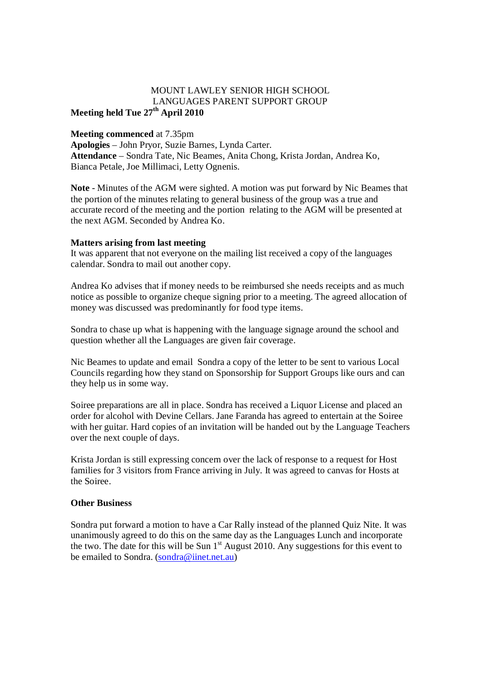## MOUNT LAWLEY SENIOR HIGH SCHOOL LANGUAGES PARENT SUPPORT GROUP **Meeting held Tue 27th April 2010**

## **Meeting commenced** at 7.35pm

**Apologies** – John Pryor, Suzie Barnes, Lynda Carter. **Attendance** – Sondra Tate, Nic Beames, Anita Chong, Krista Jordan, Andrea Ko, Bianca Petale, Joe Millimaci, Letty Ognenis.

**Note** - Minutes of the AGM were sighted. A motion was put forward by Nic Beames that the portion of the minutes relating to general business of the group was a true and accurate record of the meeting and the portion relating to the AGM will be presented at the next AGM. Seconded by Andrea Ko.

## **Matters arising from last meeting**

It was apparent that not everyone on the mailing list received a copy of the languages calendar. Sondra to mail out another copy.

Andrea Ko advises that if money needs to be reimbursed she needs receipts and as much notice as possible to organize cheque signing prior to a meeting. The agreed allocation of money was discussed was predominantly for food type items.

Sondra to chase up what is happening with the language signage around the school and question whether all the Languages are given fair coverage.

Nic Beames to update and email Sondra a copy of the letter to be sent to various Local Councils regarding how they stand on Sponsorship for Support Groups like ours and can they help us in some way.

Soiree preparations are all in place. Sondra has received a Liquor License and placed an order for alcohol with Devine Cellars. Jane Faranda has agreed to entertain at the Soiree with her guitar. Hard copies of an invitation will be handed out by the Language Teachers over the next couple of days.

Krista Jordan is still expressing concern over the lack of response to a request for Host families for 3 visitors from France arriving in July. It was agreed to canvas for Hosts at the Soiree.

## **Other Business**

Sondra put forward a motion to have a Car Rally instead of the planned Quiz Nite. It was unanimously agreed to do this on the same day as the Languages Lunch and incorporate the two. The date for this will be Sun  $1<sup>st</sup>$  August 2010. Any suggestions for this event to be emailed to Sondra. (sondra@iinet.net.au)